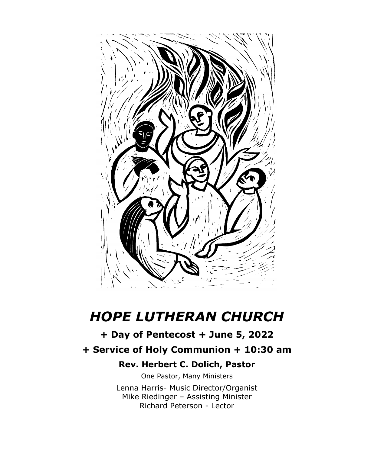

# *HOPE LUTHERAN CHURCH*

## **+ Day of Pentecost + June 5, 2022**

## **+ Service of Holy Communion + 10:30 am**

## **Rev. Herbert C. Dolich, Pastor**

One Pastor, Many Ministers Lenna Harris- Music Director/Organist Mike Riedinger – Assisting Minister Richard Peterson - Lector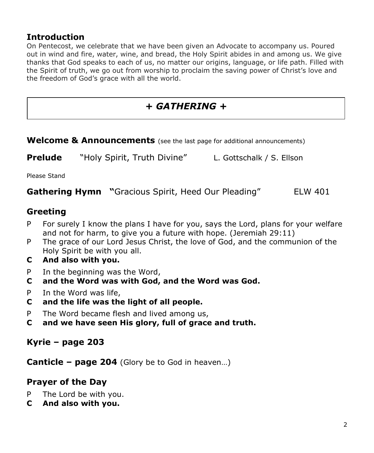## **Introduction**

On Pentecost, we celebrate that we have been given an Advocate to accompany us. Poured out in wind and fire, water, wine, and bread, the Holy Spirit abides in and among us. We give thanks that God speaks to each of us, no matter our origins, language, or life path. Filled with the Spirit of truth, we go out from worship to proclaim the saving power of Christ's love and the freedom of God's grace with all the world.

## *+ GATHERING +*

| Welcome & Announcements (see the last page for additional announcements) |  |
|--------------------------------------------------------------------------|--|
|                                                                          |  |

**Prelude** "Holy Spirit, Truth Divine" L. Gottschalk / S. Ellson

Please Stand

**Gathering Hymn "**Gracious Spirit, Heed Our Pleading" ELW 401

## **Greeting**

- P For surely I know the plans I have for you, says the Lord, plans for your welfare and not for harm, to give you a future with hope. (Jeremiah 29:11)
- P The grace of our Lord Jesus Christ, the love of God, and the communion of the Holy Spirit be with you all.
- **C And also with you.**
- P In the beginning was the Word,
- **C and the Word was with God, and the Word was God.**
- P In the Word was life,
- **C and the life was the light of all people.**
- P The Word became flesh and lived among us,
- **C and we have seen His glory, full of grace and truth.**

#### **Kyrie – page 203**

**Canticle – page 204** (Glory be to God in heaven…)

#### **Prayer of the Day**

- P The Lord be with you.
- **C And also with you.**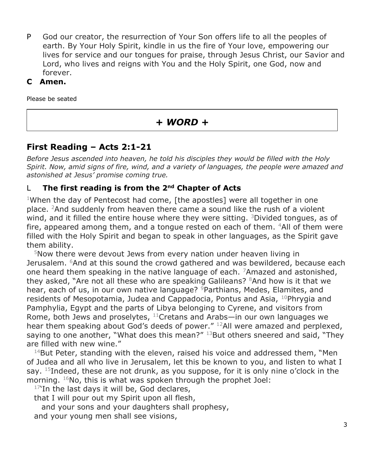- P God our creator, the resurrection of Your Son offers life to all the peoples of earth. By Your Holy Spirit, kindle in us the fire of Your love, empowering our lives for service and our tongues for praise, through Jesus Christ, our Savior and Lord, who lives and reigns with You and the Holy Spirit, one God, now and forever.
- **C Amen.**

Please be seated

## *+ WORD +*

## **First Reading – Acts 2:1-21**

*Before Jesus ascended into heaven, he told his disciples they would be filled with the Holy Spirit. Now, amid signs of fire, wind, and a variety of languages, the people were amazed and astonished at Jesus' promise coming true.*

#### L **The first reading is from the 2nd Chapter of Acts**

<sup>1</sup>When the day of Pentecost had come, [the apostles] were all together in one place. <sup>2</sup>And suddenly from heaven there came a sound like the rush of a violent wind, and it filled the entire house where they were sitting.  $3$ Divided tongues, as of fire, appeared among them, and a tongue rested on each of them.  $4$ All of them were filled with the Holy Spirit and began to speak in other languages, as the Spirit gave them ability.

<sup>5</sup>Now there were devout Jews from every nation under heaven living in Jerusalem. <sup>6</sup>And at this sound the crowd gathered and was bewildered, because each one heard them speaking in the native language of each.  $7A$ mazed and astonished, they asked, "Are not all these who are speaking Galileans? <sup>8</sup>And how is it that we hear, each of us, in our own native language? <sup>9</sup>Parthians, Medes, Elamites, and residents of Mesopotamia, Judea and Cappadocia, Pontus and Asia, <sup>10</sup>Phrygia and Pamphylia, Egypt and the parts of Libya belonging to Cyrene, and visitors from Rome, both Jews and proselytes,  $11$ Cretans and Arabs—in our own languages we hear them speaking about God's deeds of power." <sup>12</sup>All were amazed and perplexed, saying to one another, "What does this mean?"  $^{13}$ But others sneered and said, "They are filled with new wine."

 $14$ But Peter, standing with the eleven, raised his voice and addressed them, "Men of Judea and all who live in Jerusalem, let this be known to you, and listen to what I say.  $15$ Indeed, these are not drunk, as you suppose, for it is only nine o'clock in the morning.  $16$ No, this is what was spoken through the prophet Joel:

 $17$ 'In the last days it will be, God declares,

that I will pour out my Spirit upon all flesh,

and your sons and your daughters shall prophesy, and your young men shall see visions,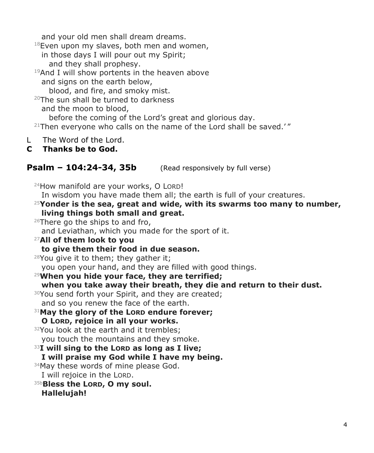and your old men shall dream dreams.

 $18$ Even upon my slaves, both men and women,

in those days I will pour out my Spirit; and they shall prophesy.

 $19$ And I will show portents in the heaven above and signs on the earth below,

blood, and fire, and smoky mist.

<sup>20</sup>The sun shall be turned to darkness and the moon to blood,

before the coming of the Lord's great and glorious day.

 $21$ Then everyone who calls on the name of the Lord shall be saved.'"

L The Word of the Lord.

#### **C Thanks be to God.**

#### **Psalm – 104:24-34, 35b** (Read responsively by full verse)

24How manifold are your works, O LORD! In wisdom you have made them all; the earth is full of your creatures. <sup>25</sup>**Yonder is the sea, great and wide, with its swarms too many to number, living things both small and great.** 26There go the ships to and fro, and Leviathan, which you made for the sport of it. <sup>27</sup>**All of them look to you to give them their food in due season.**  $28$ You give it to them; they gather it; you open your hand, and they are filled with good things. <sup>29</sup>**When you hide your face, they are terrified; when you take away their breath, they die and return to their dust.** <sup>30</sup>You send forth your Spirit, and they are created; and so you renew the face of the earth. <sup>31</sup>**May the glory of the LORD endure forever; O LORD, rejoice in all your works.** <sup>32</sup>You look at the earth and it trembles: you touch the mountains and they smoke. <sup>33</sup>**I will sing to the LORD as long as I live; I will praise my God while I have my being.** 34May these words of mine please God. I will rejoice in the LORD. 35b**Bless the LORD, O my soul. Hallelujah!**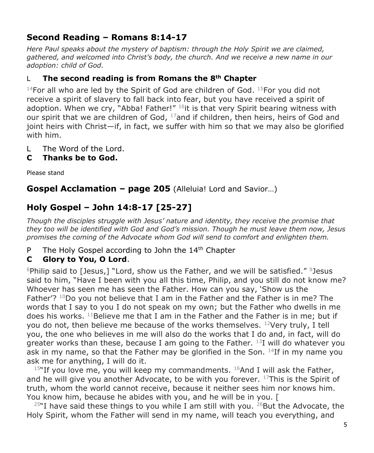## **Second Reading – Romans 8:14-17**

*Here Paul speaks about the mystery of baptism: through the Holy Spirit we are claimed, gathered, and welcomed into Christ's body, the church. And we receive a new name in our adoption: child of God.*

#### L **The second reading is from Romans the 8th Chapter**

<sup>14</sup>For all who are led by the Spirit of God are children of God.  $15$ For you did not receive a spirit of slavery to fall back into fear, but you have received a spirit of adoption. When we cry, "Abba! Father!"  $^{16}$ it is that very Spirit bearing witness with our spirit that we are children of God,  $17$ and if children, then heirs, heirs of God and joint heirs with Christ—if, in fact, we suffer with him so that we may also be glorified with him.

- L The Word of the Lord.
- **C Thanks be to God.**

Please stand

**Gospel Acclamation – page 205** (Alleluia! Lord and Savior…)

## **Holy Gospel – John 14:8-17 [25-27]**

*Though the disciples struggle with Jesus' nature and identity, they receive the promise that they too will be identified with God and God's mission. Though he must leave them now, Jesus promises the coming of the Advocate whom God will send to comfort and enlighten them.*

P The Holy Gospel according to John the 14<sup>th</sup> Chapter

#### **C Glory to You, O Lord**.

 $8$ Philip said to [Jesus,] "Lord, show us the Father, and we will be satisfied."  $9$ lesus said to him, "Have I been with you all this time, Philip, and you still do not know me? Whoever has seen me has seen the Father. How can you say, 'Show us the Father'?  $10D_0$  you not believe that I am in the Father and the Father is in me? The words that I say to you I do not speak on my own; but the Father who dwells in me does his works.  $^{11}$ Believe me that I am in the Father and the Father is in me; but if you do not, then believe me because of the works themselves.  $12$ Very truly, I tell you, the one who believes in me will also do the works that I do and, in fact, will do greater works than these, because I am going to the Father.  $^{13}$ I will do whatever you ask in my name, so that the Father may be glorified in the Son.  $14$ If in my name you ask me for anything, I will do it.

 $15$ "If you love me, you will keep my commandments.  $16$ And I will ask the Father, and he will give you another Advocate, to be with you forever.  $^{17}$ This is the Spirit of truth, whom the world cannot receive, because it neither sees him nor knows him. You know him, because he abides with you, and he will be in you. [

 $25$ "I have said these things to you while I am still with you.  $26$ But the Advocate, the Holy Spirit, whom the Father will send in my name, will teach you everything, and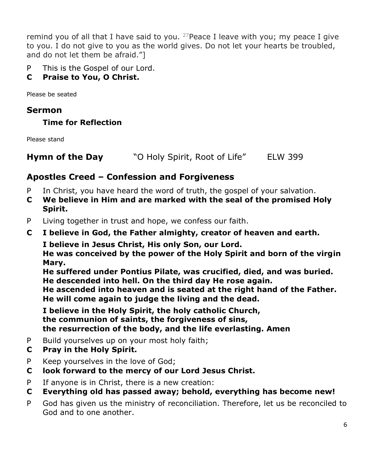remind you of all that I have said to you. <sup>27</sup> Peace I leave with you; my peace I give to you. I do not give to you as the world gives. Do not let your hearts be troubled, and do not let them be afraid."]

P This is the Gospel of our Lord.

## **C Praise to You, O Christ.**

Please be seated

## **Sermon**

**Time for Reflection**

Please stand

**Hymn of the Day** "O Holy Spirit, Root of Life" ELW 399

## **Apostles Creed – Confession and Forgiveness**

- P In Christ, you have heard the word of truth, the gospel of your salvation.
- **C We believe in Him and are marked with the seal of the promised Holy Spirit.**
- P Living together in trust and hope, we confess our faith.
- **C I believe in God, the Father almighty, creator of heaven and earth.**

 **I believe in Jesus Christ, His only Son, our Lord.** 

**He was conceived by the power of the Holy Spirit and born of the virgin Mary.** 

 **He suffered under Pontius Pilate, was crucified, died, and was buried. He descended into hell. On the third day He rose again.** 

 **He ascended into heaven and is seated at the right hand of the Father. He will come again to judge the living and the dead.**

 **I believe in the Holy Spirit, the holy catholic Church, the communion of saints, the forgiveness of sins, the resurrection of the body, and the life everlasting. Amen**

- P Build yourselves up on your most holy faith;
- **C Pray in the Holy Spirit.**
- P Keep yourselves in the love of God;
- **C look forward to the mercy of our Lord Jesus Christ.**
- P If anyone is in Christ, there is a new creation:
- **C Everything old has passed away; behold, everything has become new!**
- P God has given us the ministry of reconciliation. Therefore, let us be reconciled to God and to one another.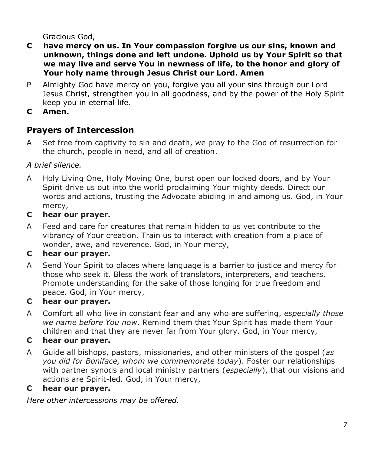Gracious God,

- **C have mercy on us. In Your compassion forgive us our sins, known and unknown, things done and left undone. Uphold us by Your Spirit so that we may live and serve You in newness of life, to the honor and glory of Your holy name through Jesus Christ our Lord. Amen**
- P Almighty God have mercy on you, forgive you all your sins through our Lord Jesus Christ, strengthen you in all goodness, and by the power of the Holy Spirit keep you in eternal life.
- **C Amen.**

## **Prayers of Intercession**

A Set free from captivity to sin and death, we pray to the God of resurrection for the church, people in need, and all of creation.

## *A brief silence.*

- A Holy Living One, Holy Moving One, burst open our locked doors, and by Your Spirit drive us out into the world proclaiming Your mighty deeds. Direct our words and actions, trusting the Advocate abiding in and among us. God, in Your mercy,
- **C hear our prayer.**
- A Feed and care for creatures that remain hidden to us yet contribute to the vibrancy of Your creation. Train us to interact with creation from a place of wonder, awe, and reverence. God, in Your mercy,

## **C hear our prayer.**

A Send Your Spirit to places where language is a barrier to justice and mercy for those who seek it. Bless the work of translators, interpreters, and teachers. Promote understanding for the sake of those longing for true freedom and peace. God, in Your mercy,

## **C hear our prayer.**

A Comfort all who live in constant fear and any who are suffering, *especially those we name before You now*. Remind them that Your Spirit has made them Your children and that they are never far from Your glory. God, in Your mercy,

## **C hear our prayer.**

A Guide all bishops, pastors, missionaries, and other ministers of the gospel (*as you did for Boniface, whom we commemorate today*). Foster our relationships with partner synods and local ministry partners (*especially*), that our visions and actions are Spirit-led. God, in Your mercy,

## **C hear our prayer.**

*Here other intercessions may be offered.*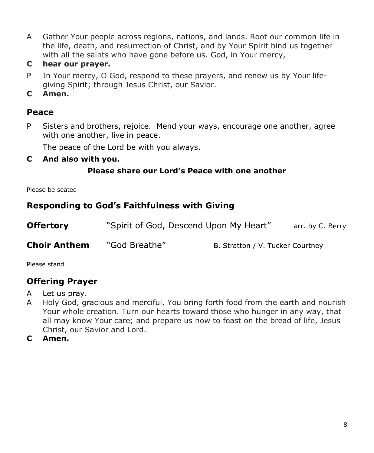- A Gather Your people across regions, nations, and lands. Root our common life in the life, death, and resurrection of Christ, and by Your Spirit bind us together with all the saints who have gone before us. God, in Your mercy,
- **C hear our prayer.**
- P In Your mercy, O God, respond to these prayers, and renew us by Your lifegiving Spirit; through Jesus Christ, our Savior.
- **C Amen.**

#### **Peace**

P Sisters and brothers, rejoice. Mend your ways, encourage one another, agree with one another, live in peace.

The peace of the Lord be with you always.

**C And also with you.**

#### **Please share our Lord's Peace with one another**

Please be seated

## **Responding to God's Faithfulness with Giving**

| <b>Offertory</b>    | "Spirit of God, Descend Upon My Heart" |                                  | arr. by C. Berry |
|---------------------|----------------------------------------|----------------------------------|------------------|
| <b>Choir Anthem</b> | "God Breathe"                          | B. Stratton / V. Tucker Courtney |                  |

Please stand

## **Offering Prayer**

- A Let us pray.
- A Holy God, gracious and merciful, You bring forth food from the earth and nourish Your whole creation. Turn our hearts toward those who hunger in any way, that all may know Your care; and prepare us now to feast on the bread of life, Jesus Christ, our Savior and Lord.
- **C Amen.**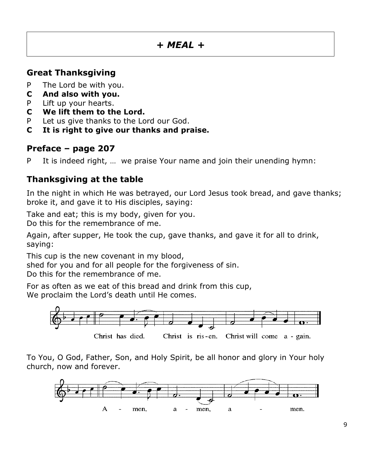## *+ MEAL +*

## **Great Thanksgiving**

- P The Lord be with you.
- **C And also with you.**
- P Lift up your hearts.
- **C We lift them to the Lord.**
- P Let us give thanks to the Lord our God.
- **C It is right to give our thanks and praise.**

#### **Preface – page 207**

P It is indeed right, … we praise Your name and join their unending hymn:

## **Thanksgiving at the table**

In the night in which He was betrayed, our Lord Jesus took bread, and gave thanks; broke it, and gave it to His disciples, saying:

Take and eat; this is my body, given for you.

Do this for the remembrance of me.

Again, after supper, He took the cup, gave thanks, and gave it for all to drink, saying:

This cup is the new covenant in my blood,

shed for you and for all people for the forgiveness of sin.

Do this for the remembrance of me.

For as often as we eat of this bread and drink from this cup, We proclaim the Lord's death until He comes.



To You, O God, Father, Son, and Holy Spirit, be all honor and glory in Your holy church, now and forever.

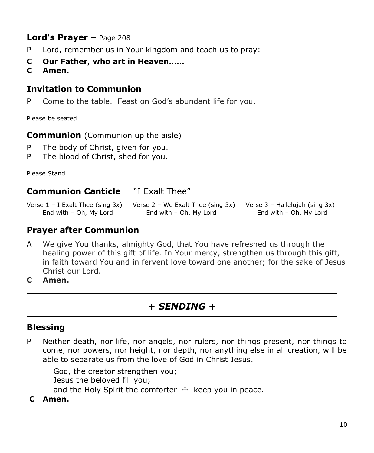## **Lord's Prayer –** Page 208

- P Lord, remember us in Your kingdom and teach us to pray:
- **C Our Father, who art in Heaven……**
- **C Amen.**

## **Invitation to Communion**

P Come to the table. Feast on God's abundant life for you.

Please be seated

**Communion** (Communion up the aisle)

- P The body of Christ, given for you.
- P The blood of Christ, shed for you.

Please Stand

#### **Communion Canticle** "I Exalt Thee"

Verse 1 – I Exalt Thee (sing 3x) Verse 2 – We Exalt Thee (sing 3x) Verse 3 – Hallelujah (sing 3x) End with – Oh, My Lord End with – Oh, My Lord End with – Oh, My Lord

## **Prayer after Communion**

- A We give You thanks, almighty God, that You have refreshed us through the healing power of this gift of life. In Your mercy, strengthen us through this gift, in faith toward You and in fervent love toward one another; for the sake of Jesus Christ our Lord.
- **C Amen.**

## *+ SENDING +*

#### **Blessing**

P Neither death, nor life, nor angels, nor rulers, nor things present, nor things to come, nor powers, nor height, nor depth, nor anything else in all creation, will be able to separate us from the love of God in Christ Jesus.

 God, the creator strengthen you; Jesus the beloved fill you; and the Holy Spirit the comforter  $+$  keep you in peace.

**C Amen.**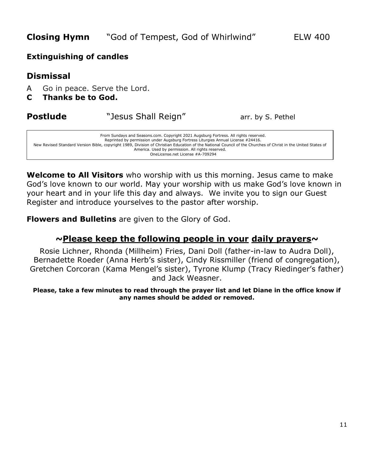#### **Extinguishing of candles**

## **Dismissal**

- A Go in peace. Serve the Lord.
- **C Thanks be to God.**

#### **Postlude** "Jesus Shall Reign" arr. by S. Pethel

From Sundays and Seasons.com. Copyright 2021 Augsburg Fortress. All rights reserved. Reprinted by permission under Augsburg Fortress Liturgies Annual License #24416. New Revised Standard Version Bible, copyright 1989, Division of Christian Education of the National Council of the Churches of Christ in the United States of America. Used by permission. All rights reserved. OneLicense.net License #A-709294

**Welcome to All Visitors** who worship with us this morning. Jesus came to make God's love known to our world. May your worship with us make God's love known in your heart and in your life this day and always. We invite you to sign our Guest Register and introduce yourselves to the pastor after worship.

**Flowers and Bulletins** are given to the Glory of God.

#### **~Please keep the following people in your daily prayers~**

Rosie Lichner, Rhonda (Millheim) Fries, Dani Doll (father-in-law to Audra Doll), Bernadette Roeder (Anna Herb's sister), Cindy Rissmiller (friend of congregation), Gretchen Corcoran (Kama Mengel's sister), Tyrone Klump (Tracy Riedinger's father) and Jack Weasner.

**Please, take a few minutes to read through the prayer list and let Diane in the office know if any names should be added or removed.**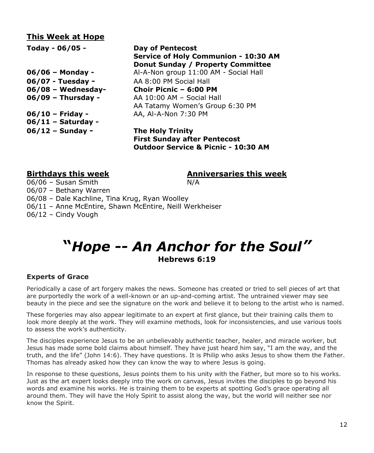#### **This Week at Hope**

**Today - 06/05 - Day of Pentecost Service of Holy Communion - 10:30 AM Donut Sunday / Property Committee 06/06 – Monday -** Al-A-Non group 11:00 AM - Social Hall **06/07 - Tuesday -** AA 8:00 PM Social Hall **06/08 – Wednesday- Choir Picnic – 6:00 PM 06/09 – Thursday -** AA 10:00 AM – Social Hall AA Tatamy Women's Group 6:30 PM **06/10 – Friday -** AA, Al-A-Non 7:30 PM **06/11 – Saturday - 06/12 – Sunday - The Holy Trinity First Sunday after Pentecost Outdoor Service & Picnic - 10:30 AM**

**Birthdays this week Anniversaries this week**

06/06 – Susan Smith N/A 06/07 – Bethany Warren 06/08 – Dale Kachline, Tina Krug, Ryan Woolley 06/11 – Anne McEntire, Shawn McEntire, Neill Werkheiser 06/12 – Cindy Vough

## **"***Hope -- An Anchor for the Soul"* **Hebrews 6:19**

#### **Experts of Grace**

Periodically a case of art forgery makes the news. Someone has created or tried to sell pieces of art that are purportedly the work of a well-known or an up-and-coming artist. The untrained viewer may see beauty in the piece and see the signature on the work and believe it to belong to the artist who is named.

These forgeries may also appear legitimate to an expert at first glance, but their training calls them to look more deeply at the work. They will examine methods, look for inconsistencies, and use various tools to assess the work's authenticity.

The disciples experience Jesus to be an unbelievably authentic teacher, healer, and miracle worker, but Jesus has made some bold claims about himself. They have just heard him say, "I am the way, and the truth, and the life" (John 14:6). They have questions. It is Philip who asks Jesus to show them the Father. Thomas has already asked how they can know the way to where Jesus is going.

In response to these questions, Jesus points them to his unity with the Father, but more so to his works. Just as the art expert looks deeply into the work on canvas, Jesus invites the disciples to go beyond his words and examine his works. He is training them to be experts at spotting God's grace operating all around them. They will have the Holy Spirit to assist along the way, but the world will neither see nor know the Spirit.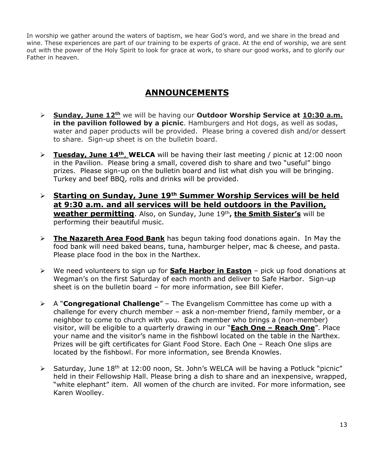In worship we gather around the waters of baptism, we hear God's word, and we share in the bread and wine. These experiences are part of our training to be experts of grace. At the end of worship, we are sent out with the power of the Holy Spirit to look for grace at work, to share our good works, and to glorify our Father in heaven.

## **ANNOUNCEMENTS**

- ➢ **Sunday, June 12th** we will be having our **Outdoor Worship Service at 10:30 a.m. in the pavilion followed by a picnic**. Hamburgers and Hot dogs, as well as sodas, water and paper products will be provided. Please bring a covered dish and/or dessert to share. Sign-up sheet is on the bulletin board.
- ➢ **Tuesday, June 14th**, **WELCA** will be having their last meeting / picnic at 12:00 noon in the Pavilion. Please bring a small, covered dish to share and two "useful" bingo prizes. Please sign-up on the bulletin board and list what dish you will be bringing. Turkey and beef BBQ, rolls and drinks will be provided.
- ➢ **Starting on Sunday, June 19th Summer Worship Services will be held at 9:30 a.m. and all services will be held outdoors in the Pavilion, weather permitting**. Also, on Sunday, June 19th **, the Smith Sister's** will be performing their beautiful music.
- ➢ **The Nazareth Area Food Bank** has begun taking food donations again. In May the food bank will need baked beans, tuna, hamburger helper, mac & cheese, and pasta. Please place food in the box in the Narthex.
- ➢ We need volunteers to sign up for **Safe Harbor in Easton** pick up food donations at Wegman's on the first Saturday of each month and deliver to Safe Harbor. Sign-up sheet is on the bulletin board – for more information, see Bill Kiefer.
- ➢ A "**Congregational Challenge**" The Evangelism Committee has come up with a challenge for every church member – ask a non-member friend, family member, or a neighbor to come to church with you. Each member who brings a (non-member) visitor, will be eligible to a quarterly drawing in our "**Each One – Reach One**". Place your name and the visitor's name in the fishbowl located on the table in the Narthex. Prizes will be gift certificates for Giant Food Store. Each One – Reach One slips are located by the fishbowl. For more information, see Brenda Knowles.
- $\triangleright$  Saturday, June 18<sup>th</sup> at 12:00 noon, St. John's WELCA will be having a Potluck "picnic" held in their Fellowship Hall. Please bring a dish to share and an inexpensive, wrapped, "white elephant" item. All women of the church are invited. For more information, see Karen Woolley.